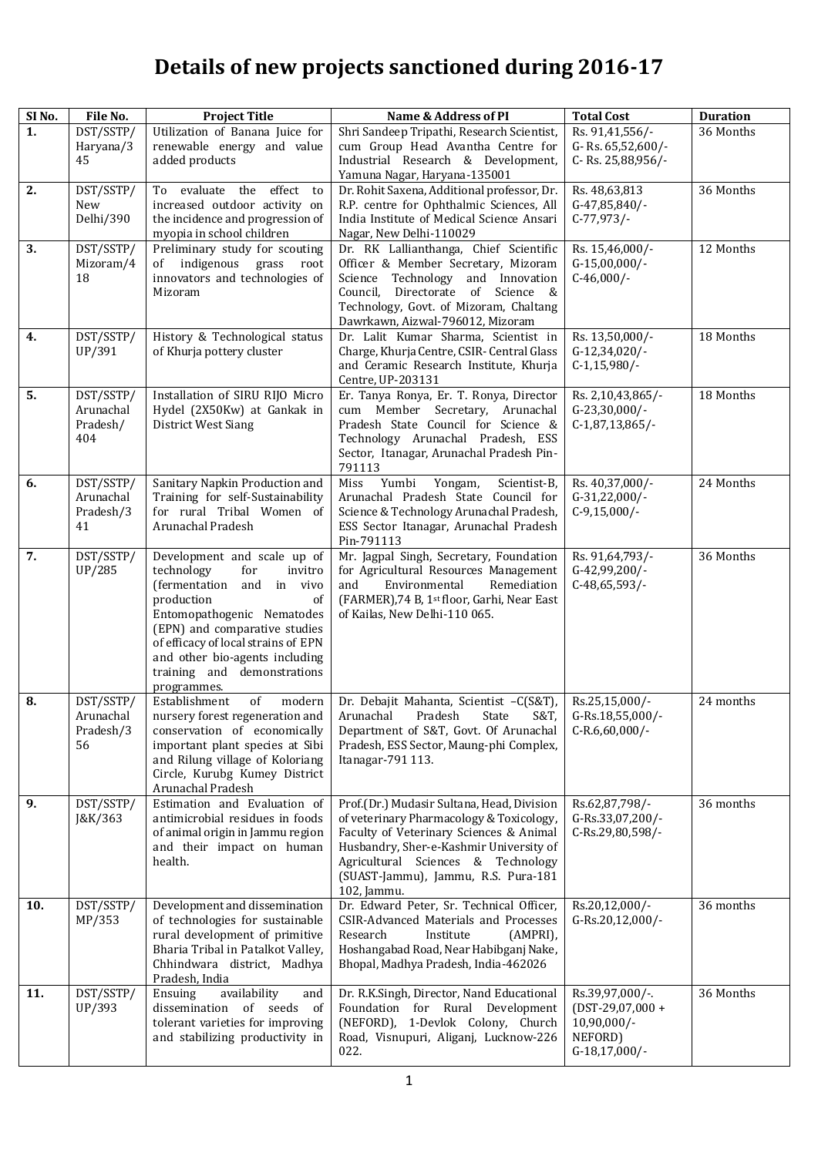## **Details of new projects sanctioned during 2016-17**

| SI <sub>No.</sub> | File No.               | <b>Project Title</b>                                                | Name & Address of PI                                                                | <b>Total Cost</b>                    | <b>Duration</b> |
|-------------------|------------------------|---------------------------------------------------------------------|-------------------------------------------------------------------------------------|--------------------------------------|-----------------|
| 1.                | DST/SSTP/              | Utilization of Banana Juice for                                     | Shri Sandeep Tripathi, Research Scientist,                                          | Rs. 91,41,556/-                      | 36 Months       |
|                   | Haryana/3              | renewable energy and value                                          | cum Group Head Avantha Centre for                                                   | G-Rs. 65,52,600/-                    |                 |
|                   | 45                     | added products                                                      | Industrial Research & Development,<br>Yamuna Nagar, Haryana-135001                  | C-Rs. 25,88,956/-                    |                 |
| $\overline{2}$ .  | DST/SSTP/              | To evaluate the effect to                                           | Dr. Rohit Saxena, Additional professor, Dr.                                         | Rs. 48,63,813                        | 36 Months       |
|                   | New                    | increased outdoor activity on                                       | R.P. centre for Ophthalmic Sciences, All                                            | G-47,85,840/-                        |                 |
|                   | Delhi/390              | the incidence and progression of                                    | India Institute of Medical Science Ansari                                           | $C-77,973/$                          |                 |
| $\overline{3}$ .  | DST/SSTP/              | myopia in school children<br>Preliminary study for scouting         | Nagar, New Delhi-110029<br>Dr. RK Lallianthanga, Chief Scientific                   | Rs. 15,46,000/-                      | 12 Months       |
|                   | Mizoram/4              | of indigenous grass<br>root                                         | Officer & Member Secretary, Mizoram                                                 | $G-15,00,000/-$                      |                 |
|                   | 18                     | innovators and technologies of                                      | Science Technology and Innovation                                                   | $C-46,000/-$                         |                 |
|                   |                        | Mizoram                                                             | Directorate of Science &<br>Council,                                                |                                      |                 |
|                   |                        |                                                                     | Technology, Govt. of Mizoram, Chaltang<br>Dawrkawn, Aizwal-796012, Mizoram          |                                      |                 |
| $\overline{4}$ .  | DST/SSTP/              | History & Technological status                                      | Dr. Lalit Kumar Sharma, Scientist in                                                | Rs. 13,50,000/-                      | 18 Months       |
|                   | UP/391                 | of Khurja pottery cluster                                           | Charge, Khurja Centre, CSIR- Central Glass                                          | G-12,34,020/-                        |                 |
|                   |                        |                                                                     | and Ceramic Research Institute, Khurja                                              | $C-1,15,980/$ -                      |                 |
|                   |                        |                                                                     | Centre, UP-203131                                                                   |                                      |                 |
| $\overline{5}$ .  | DST/SSTP/<br>Arunachal | Installation of SIRU RIJO Micro<br>Hydel (2X50Kw) at Gankak in      | Er. Tanya Ronya, Er. T. Ronya, Director<br>cum Member Secretary, Arunachal          | Rs. 2,10,43,865/-<br>G-23,30,000/-   | 18 Months       |
|                   | Pradesh/               | District West Siang                                                 | Pradesh State Council for Science &                                                 | $C-1, 87, 13, 865/$                  |                 |
|                   | 404                    |                                                                     | Technology Arunachal Pradesh, ESS                                                   |                                      |                 |
|                   |                        |                                                                     | Sector, Itanagar, Arunachal Pradesh Pin-                                            |                                      |                 |
| $\overline{6}$ .  | DST/SSTP/              | Sanitary Napkin Production and                                      | 791113<br>Miss<br>Yumbi<br>Yongam,<br>Scientist-B,                                  | Rs. 40,37,000/-                      | 24 Months       |
|                   | Arunachal              | Training for self-Sustainability                                    | Arunachal Pradesh State Council for                                                 | G-31,22,000/-                        |                 |
|                   | Pradesh/3              | for rural Tribal Women of                                           | Science & Technology Arunachal Pradesh,                                             | $C-9,15,000/-$                       |                 |
|                   | 41                     | Arunachal Pradesh                                                   | ESS Sector Itanagar, Arunachal Pradesh                                              |                                      |                 |
| 7.                | DST/SSTP/              | Development and scale up of                                         | Pin-791113<br>Mr. Jagpal Singh, Secretary, Foundation                               | Rs. 91,64,793/-                      | 36 Months       |
|                   | UP/285                 | technology<br>for<br>invitro                                        | for Agricultural Resources Management                                               | G-42,99,200/-                        |                 |
|                   |                        | (fermentation<br>and in vivo                                        | Remediation<br>and<br>Environmental                                                 | $C-48,65,593/$ -                     |                 |
|                   |                        | production<br>of                                                    | (FARMER), 74 B, 1st floor, Garhi, Near East                                         |                                      |                 |
|                   |                        | Entomopathogenic Nematodes<br>(EPN) and comparative studies         | of Kailas, New Delhi-110 065.                                                       |                                      |                 |
|                   |                        | of efficacy of local strains of EPN                                 |                                                                                     |                                      |                 |
|                   |                        | and other bio-agents including                                      |                                                                                     |                                      |                 |
|                   |                        | training and demonstrations<br>programmes.                          |                                                                                     |                                      |                 |
| 8.                | DST/SSTP/              | Establishment<br>of<br>modern                                       | Dr. Debajit Mahanta, Scientist -C(S&T),                                             | Rs.25,15,000/-                       | 24 months       |
|                   | Arunachal              | nursery forest regeneration and                                     | Arunachal<br>Pradesh<br>State<br>S&T,                                               | G-Rs.18,55,000/-                     |                 |
|                   | Pradesh/3              | conservation of economically                                        | Department of S&T, Govt. Of Arunachal                                               | C-R.6,60,000/-                       |                 |
|                   | 56                     | important plant species at Sibi                                     | Pradesh, ESS Sector, Maung-phi Complex,                                             |                                      |                 |
|                   |                        | and Rilung village of Koloriang<br>Circle, Kurubg Kumey District    | Itanagar-791 113.                                                                   |                                      |                 |
|                   |                        | Arunachal Pradesh                                                   |                                                                                     |                                      |                 |
| 9.                | DST/SSTP/              | Estimation and Evaluation of                                        | Prof.(Dr.) Mudasir Sultana, Head, Division                                          | Rs.62,87,798/-                       | 36 months       |
|                   | J&K/363                | antimicrobial residues in foods<br>of animal origin in Jammu region | of veterinary Pharmacology & Toxicology,<br>Faculty of Veterinary Sciences & Animal | G-Rs.33,07,200/-<br>C-Rs.29,80,598/- |                 |
|                   |                        | and their impact on human                                           | Husbandry, Sher-e-Kashmir University of                                             |                                      |                 |
|                   |                        | health.                                                             | Agricultural Sciences & Technology                                                  |                                      |                 |
|                   |                        |                                                                     | (SUAST-Jammu), Jammu, R.S. Pura-181                                                 |                                      |                 |
| 10.               | DST/SSTP/              | Development and dissemination                                       | 102, Jammu.<br>Dr. Edward Peter, Sr. Technical Officer,                             | Rs.20,12,000/-                       | 36 months       |
|                   | MP/353                 | of technologies for sustainable                                     | CSIR-Advanced Materials and Processes                                               | G-Rs.20,12,000/-                     |                 |
|                   |                        | rural development of primitive                                      | Research<br>Institute<br>(AMPRI),                                                   |                                      |                 |
|                   |                        | Bharia Tribal in Patalkot Valley,                                   | Hoshangabad Road, Near Habibganj Nake,                                              |                                      |                 |
|                   |                        | Chhindwara district, Madhya<br>Pradesh, India                       | Bhopal, Madhya Pradesh, India-462026                                                |                                      |                 |
| 11.               | DST/SSTP/              | availability<br>Ensuing<br>and                                      | Dr. R.K.Singh, Director, Nand Educational                                           | Rs.39,97,000/-.                      | 36 Months       |
|                   | UP/393                 | dissemination of seeds<br>- of                                      | Foundation for Rural Development                                                    | $(DST-29,07,000 +$                   |                 |
|                   |                        | tolerant varieties for improving                                    | (NEFORD), 1-Devlok Colony, Church                                                   | 10,90,000/-                          |                 |
|                   |                        | and stabilizing productivity in                                     | Road, Visnupuri, Aliganj, Lucknow-226                                               | NEFORD)                              |                 |
|                   |                        |                                                                     | 022.                                                                                | G-18,17,000/-                        |                 |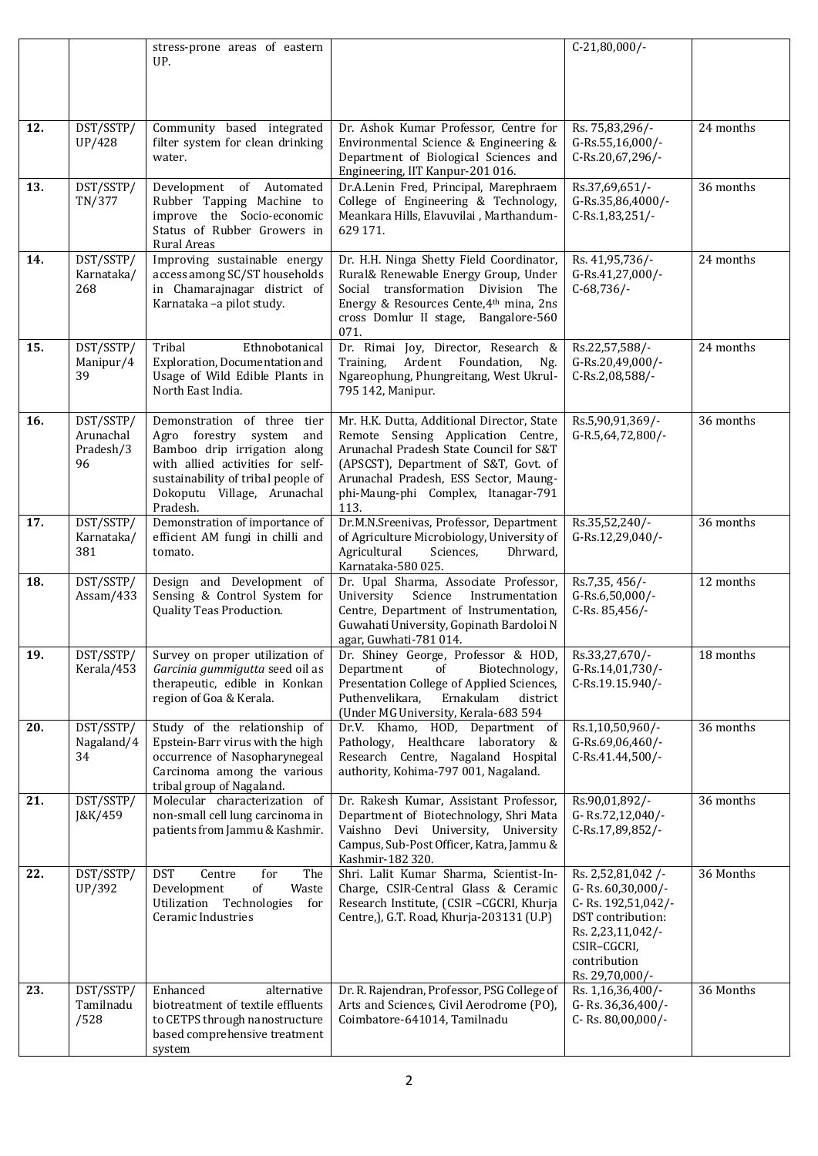|     |                                           | stress-prone areas of eastern<br>UP.                                                                                                                                                                            |                                                                                                                                                                                                                                                              | $C-21,80,000/-$                                                                                                                                          |           |
|-----|-------------------------------------------|-----------------------------------------------------------------------------------------------------------------------------------------------------------------------------------------------------------------|--------------------------------------------------------------------------------------------------------------------------------------------------------------------------------------------------------------------------------------------------------------|----------------------------------------------------------------------------------------------------------------------------------------------------------|-----------|
|     |                                           |                                                                                                                                                                                                                 |                                                                                                                                                                                                                                                              |                                                                                                                                                          |           |
| 12. | DST/SSTP/<br><b>UP/428</b>                | Community based integrated<br>filter system for clean drinking<br>water.                                                                                                                                        | Dr. Ashok Kumar Professor, Centre for<br>Environmental Science & Engineering &<br>Department of Biological Sciences and<br>Engineering, IIT Kanpur-201 016.                                                                                                  | Rs. 75,83,296/-<br>G-Rs.55,16,000/-<br>C-Rs.20,67,296/-                                                                                                  | 24 months |
| 13. | DST/SSTP/<br>TN/377                       | Development of Automated<br>Rubber Tapping Machine to<br>improve the Socio-economic<br>Status of Rubber Growers in<br>Rural Areas                                                                               | Dr.A.Lenin Fred, Principal, Marephraem<br>College of Engineering & Technology,<br>Meankara Hills, Elavuvilai, Marthandum-<br>629 171.                                                                                                                        | Rs.37,69,651/-<br>G-Rs.35,86,4000/-<br>C-Rs.1,83,251/-                                                                                                   | 36 months |
| 14. | DST/SSTP/<br>Karnataka/<br>268            | Improving sustainable energy<br>access among SC/ST households<br>in Chamarajnagar district of<br>Karnataka -a pilot study.                                                                                      | Dr. H.H. Ninga Shetty Field Coordinator,<br>Rural& Renewable Energy Group, Under<br>Social transformation Division The<br>Energy & Resources Cente, 4th mina, 2ns<br>cross Domlur II stage, Bangalore-560<br>071.                                            | Rs. 41,95,736/-<br>G-Rs.41,27,000/-<br>$C-68,736/$ -                                                                                                     | 24 months |
| 15. | DST/SSTP/<br>Manipur/4<br>39              | Tribal<br>Ethnobotanical<br>Exploration, Documentation and<br>Usage of Wild Edible Plants in<br>North East India.                                                                                               | Dr. Rimai Joy, Director, Research &<br>Training,<br>Ardent Foundation,<br>Ng.<br>Ngareophung, Phungreitang, West Ukrul-<br>795 142, Manipur.                                                                                                                 | Rs.22,57,588/-<br>G-Rs.20,49,000/-<br>C-Rs.2,08,588/-                                                                                                    | 24 months |
| 16. | DST/SSTP/<br>Arunachal<br>Pradesh/3<br>96 | Demonstration of three tier<br>Agro forestry system<br>and<br>Bamboo drip irrigation along<br>with allied activities for self-<br>sustainability of tribal people of<br>Dokoputu Village, Arunachal<br>Pradesh. | Mr. H.K. Dutta, Additional Director, State<br>Remote Sensing Application Centre,<br>Arunachal Pradesh State Council for S&T<br>(APSCST), Department of S&T, Govt. of<br>Arunachal Pradesh, ESS Sector, Maung-<br>phi-Maung-phi Complex, Itanagar-791<br>113. | Rs.5,90,91,369/-<br>G-R.5,64,72,800/-                                                                                                                    | 36 months |
| 17. | DST/SSTP/<br>Karnataka/<br>381            | Demonstration of importance of<br>efficient AM fungi in chilli and<br>tomato.                                                                                                                                   | Dr.M.N.Sreenivas, Professor, Department<br>of Agriculture Microbiology, University of<br>Agricultural<br>Dhrward,<br>Sciences,<br>Karnataka-580 025.                                                                                                         | Rs.35,52,240/-<br>G-Rs.12,29,040/-                                                                                                                       | 36 months |
| 18. | DST/SSTP/<br>Assam/433                    | Design and Development of<br>Sensing & Control System for<br>Quality Teas Production.                                                                                                                           | Dr. Upal Sharma, Associate Professor,<br>University<br>Science<br>Instrumentation<br>Centre, Department of Instrumentation,<br>Guwahati University, Gopinath Bardoloi N<br>agar, Guwhati-781 014.                                                            | Rs.7,35, 456/-<br>G-Rs.6,50,000/-<br>C-Rs. 85,456/-                                                                                                      | 12 months |
| 19. | DST/SSTP/<br>Kerala/453                   | Garcinia gummigutta seed oil as<br>therapeutic, edible in Konkan<br>region of Goa & Kerala.                                                                                                                     | Survey on proper utilization of Dr. Shiney George, Professor & HOD,<br>Biotechnology,<br>Department<br>of<br>Presentation College of Applied Sciences,<br>Puthenvelikara,<br>Ernakulam<br>district<br>(Under MG University, Kerala-683 594                   | Rs.33,27,670/-<br>G-Rs.14,01,730/-<br>C-Rs.19.15.940/-                                                                                                   | 18 months |
| 20. | DST/SSTP/<br>Nagaland/4<br>34             | Study of the relationship of<br>Epstein-Barr virus with the high<br>occurrence of Nasopharynegeal<br>Carcinoma among the various<br>tribal group of Nagaland.                                                   | Dr.V. Khamo, HOD, Department<br>of<br>Pathology, Healthcare laboratory<br>&<br>Research Centre, Nagaland Hospital<br>authority, Kohima-797 001, Nagaland.                                                                                                    | Rs.1,10,50,960/-<br>G-Rs.69,06,460/-<br>C-Rs.41.44,500/-                                                                                                 | 36 months |
| 21. | DST/SSTP/<br>J&K/459                      | Molecular characterization of<br>non-small cell lung carcinoma in<br>patients from Jammu & Kashmir.                                                                                                             | Dr. Rakesh Kumar, Assistant Professor,<br>Department of Biotechnology, Shri Mata<br>Vaishno Devi University, University<br>Campus, Sub-Post Officer, Katra, Jammu &<br>Kashmir-182 320.                                                                      | Rs.90,01,892/-<br>G-Rs.72,12,040/-<br>C-Rs.17,89,852/-                                                                                                   | 36 months |
| 22. | DST/SSTP/<br>UP/392                       | <b>DST</b><br>Centre<br>for<br>The<br>Development<br>of<br>Waste<br>Utilization Technologies<br>for<br>Ceramic Industries                                                                                       | Shri. Lalit Kumar Sharma, Scientist-In-<br>Charge, CSIR-Central Glass & Ceramic<br>Research Institute, (CSIR -CGCRI, Khurja<br>Centre, J, G.T. Road, Khurja-203131 (U.P)                                                                                     | Rs. 2,52,81,042/-<br>G-Rs. 60,30,000/-<br>C-Rs. 192,51,042/-<br>DST contribution:<br>Rs. 2,23,11,042/-<br>CSIR-CGCRI,<br>contribution<br>Rs. 29,70,000/- | 36 Months |
| 23. | DST/SSTP/<br>Tamilnadu<br>/528            | Enhanced<br>alternative<br>biotreatment of textile effluents<br>to CETPS through nanostructure<br>based comprehensive treatment<br>system                                                                       | Dr. R. Rajendran, Professor, PSG College of<br>Arts and Sciences, Civil Aerodrome (PO),<br>Coimbatore-641014, Tamilnadu                                                                                                                                      | Rs. 1,16,36,400/-<br>G-Rs. 36,36,400/-<br>C-Rs. 80,00,000/-                                                                                              | 36 Months |